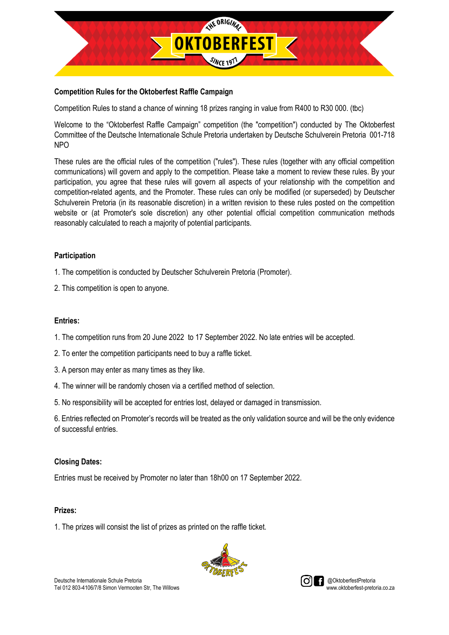

### **Competition Rules for the Oktoberfest Raffle Campaign**

Competition Rules to stand a chance of winning 18 prizes ranging in value from R400 to R30 000. (tbc)

Welcome to the "Oktoberfest Raffle Campaign" competition (the "competition") conducted by The Oktoberfest Committee of the Deutsche Internationale Schule Pretoria undertaken by Deutsche Schulverein Pretoria 001-718 NPO

These rules are the official rules of the competition ("rules"). These rules (together with any official competition communications) will govern and apply to the competition. Please take a moment to review these rules. By your participation, you agree that these rules will govern all aspects of your relationship with the competition and competition-related agents, and the Promoter. These rules can only be modified (or superseded) by Deutscher Schulverein Pretoria (in its reasonable discretion) in a written revision to these rules posted on the competition website or (at Promoter's sole discretion) any other potential official competition communication methods reasonably calculated to reach a majority of potential participants.

#### **Participation**

1. The competition is conducted by Deutscher Schulverein Pretoria (Promoter).

2. This competition is open to anyone.

#### **Entries:**

1. The competition runs from 20 June 2022 to 17 September 2022. No late entries will be accepted.

2. To enter the competition participants need to buy a raffle ticket.

3. A person may enter as many times as they like.

4. The winner will be randomly chosen via a certified method of selection.

5. No responsibility will be accepted for entries lost, delayed or damaged in transmission.

6. Entries reflected on Promoter's records will be treated as the only validation source and will be the only evidence of successful entries.

#### **Closing Dates:**

Entries must be received by Promoter no later than 18h00 on 17 September 2022.

#### **Prizes:**

1. The prizes will consist the list of prizes as printed on the raffle ticket.



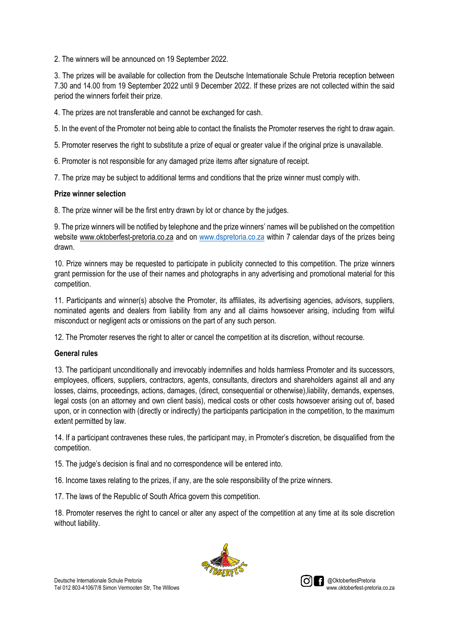2. The winners will be announced on 19 September 2022.

3. The prizes will be available for collection from the Deutsche Internationale Schule Pretoria reception between 7.30 and 14.00 from 19 September 2022 until 9 December 2022. If these prizes are not collected within the said period the winners forfeit their prize.

4. The prizes are not transferable and cannot be exchanged for cash.

5. In the event of the Promoter not being able to contact the finalists the Promoter reserves the right to draw again.

5. Promoter reserves the right to substitute a prize of equal or greater value if the original prize is unavailable.

6. Promoter is not responsible for any damaged prize items after signature of receipt.

7. The prize may be subject to additional terms and conditions that the prize winner must comply with.

## **Prize winner selection**

8. The prize winner will be the first entry drawn by lot or chance by the judges.

9. The prize winners will be notified by telephone and the prize winners' names will be published on the competition website [www.oktoberfest-pretoria.co.za](http://www.oktoberfest-pretoria.co.za/) and on [www.dspretoria.co.za](http://www.dspretoria.co.za/) within 7 calendar days of the prizes being drawn.

10. Prize winners may be requested to participate in publicity connected to this competition. The prize winners grant permission for the use of their names and photographs in any advertising and promotional material for this competition.

11. Participants and winner(s) absolve the Promoter, its affiliates, its advertising agencies, advisors, suppliers, nominated agents and dealers from liability from any and all claims howsoever arising, including from wilful misconduct or negligent acts or omissions on the part of any such person.

12. The Promoter reserves the right to alter or cancel the competition at its discretion, without recourse.

# **General rules**

13. The participant unconditionally and irrevocably indemnifies and holds harmless Promoter and its successors, employees, officers, suppliers, contractors, agents, consultants, directors and shareholders against all and any losses, claims, proceedings, actions, damages, (direct, consequential or otherwise),liability, demands, expenses, legal costs (on an attorney and own client basis), medical costs or other costs howsoever arising out of, based upon, or in connection with (directly or indirectly) the participants participation in the competition, to the maximum extent permitted by law.

14. If a participant contravenes these rules, the participant may, in Promoter's discretion, be disqualified from the competition.

15. The judge's decision is final and no correspondence will be entered into.

16. Income taxes relating to the prizes, if any, are the sole responsibility of the prize winners.

17. The laws of the Republic of South Africa govern this competition.

18. Promoter reserves the right to cancel or alter any aspect of the competition at any time at its sole discretion without liability.